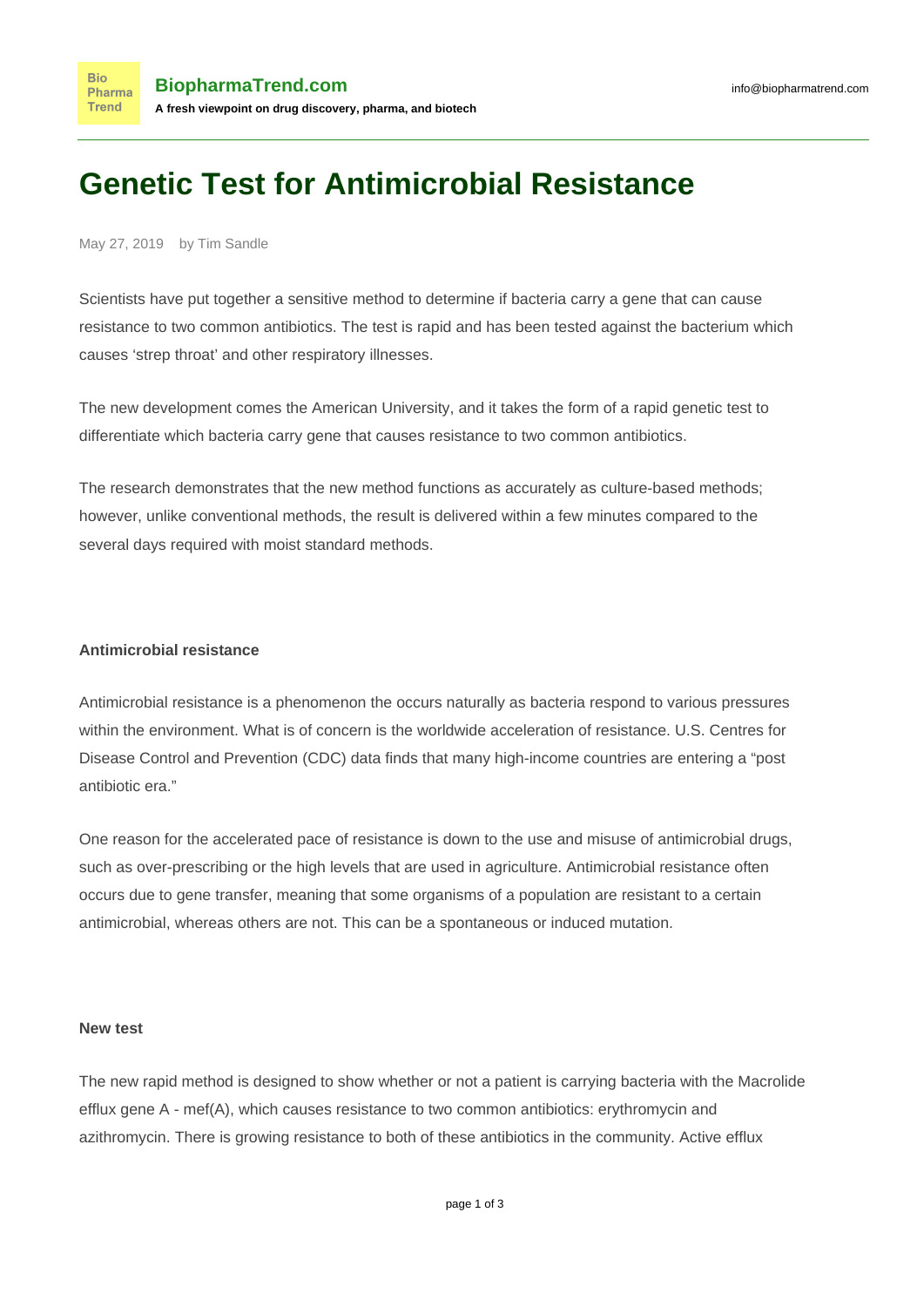# **Genetic Test for Antimicrobial Resistance**

#### May 27, 2019 by Tim Sandle

**Bio** 

**Trend** 

Scientists have put together a sensitive method to determine if bacteria carry a gene that can cause resistance to two common antibiotics. The test is rapid and has been tested against the bacterium which causes 'strep throat' and other respiratory illnesses.

The new development comes the American University, and it takes the form of a rapid genetic test to differentiate which bacteria carry gene that causes resistance to two common antibiotics.

The research demonstrates that the new method functions as accurately as culture-based methods; however, unlike conventional methods, the result is delivered within a few minutes compared to the several days required with moist standard methods.

## **Antimicrobial resistance**

[Antimicrobial resistance](http://www.pharmamicroresources.com/2018/01/antimicrobial-resistance.html?m=1) is a phenomenon the occurs naturally as bacteria respond to various pressures within the environment. What is of concern is the worldwide acceleration of resistance. U.S. Centres for Disease Control and Prevention (CDC) [data finds that](https://nifa.usda.gov/antimicrobial-resistance) many high-income countries are entering a "post antibiotic era."

One reason for the accelerated pace of resistance is down to the [use and misuse of antimicrobial drugs,](https://www.who.int/antimicrobial-resistance/en/) such as over-prescribing or the high levels that are used in agriculture. Antimicrobial resistance often occurs [due to gene transfer,](https://pdfs.semanticscholar.org/c8a8/1ed752914fe1f4814f666804dd003e33d8b3.pdf) meaning that some organisms of a population are resistant to a certain antimicrobial, whereas others are not. This can be a spontaneous or induced mutation.

### **New test**

The new rapid method is designed to show whether or not a patient is carrying bacteria with the Macrolide efflux gene A - mef(A), which causes resistance to two common antibiotics: erythromycin and azithromycin. There is growing resistance to both of these antibiotics in the community. Active efflux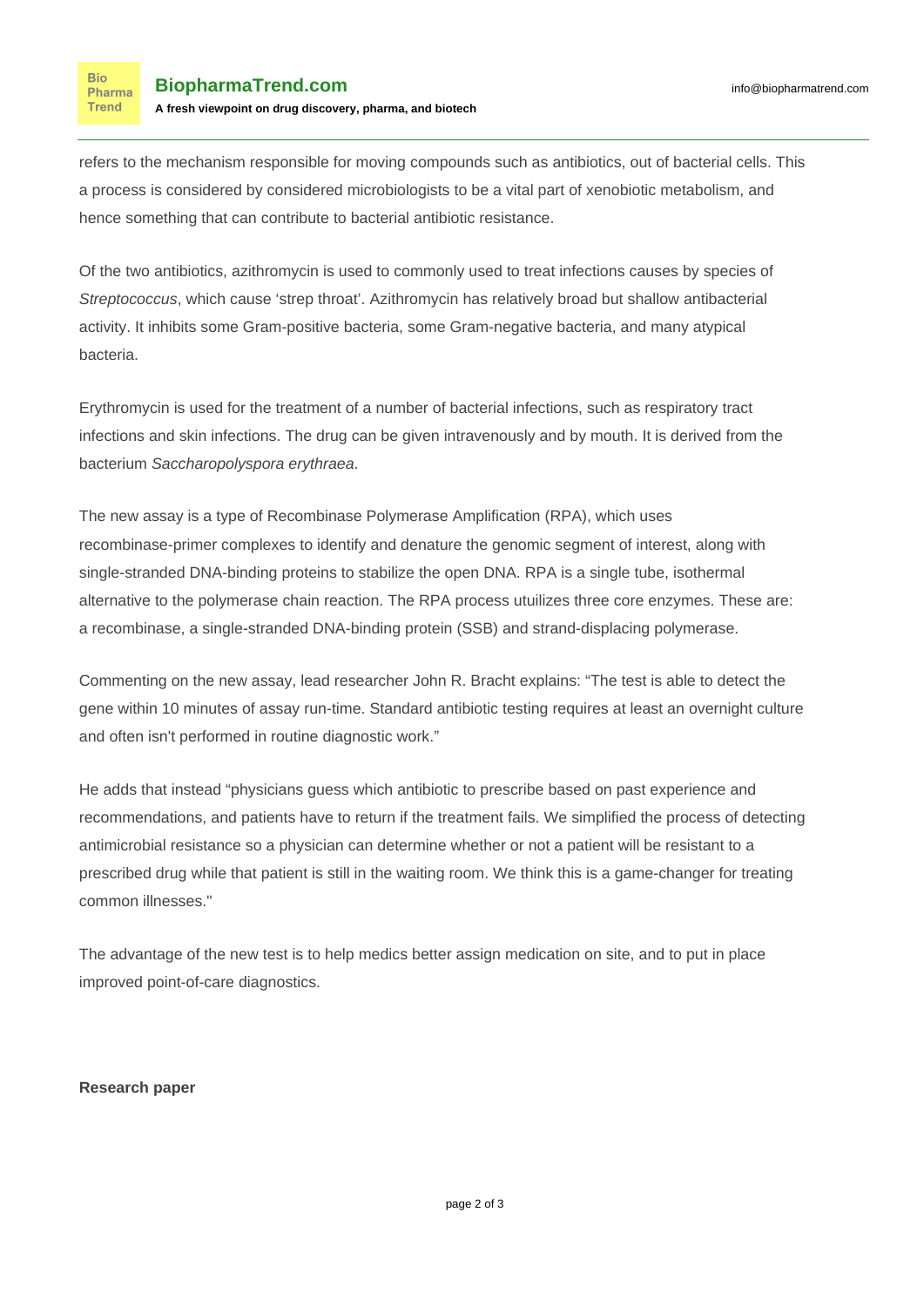**Bio** Pharma **Trend** 

refers to the mechanism responsible for moving compounds such as antibiotics, out of bacterial cells. This a process is considered by considered microbiologists to be a vital part of xenobiotic metabolism, and hence something that can contribute to bacterial antibiotic resistance.

Of the two antibiotics, [azithromycin is used to commonly used](https://www.drugs.com/azithromycin.html) to treat infections causes by species of Streptococcus, which cause 'strep throat'. Azithromycin has relatively broad but shallow antibacterial activity. It inhibits some Gram-positive bacteria, some Gram-negative bacteria, and many atypical bacteria.

[Erythromycin](https://www.drugs.com/erythromycin.html) is used for the treatment of a number of bacterial infections, such as respiratory tract infections and skin infections. The drug can be given intravenously and by mouth. It is derived from the bacterium Saccharopolyspora erythraea.

The new assay is a type of [Recombinase Polymerase Amplification](https://www.twistdx.co.uk/en/rpa) (RPA), which uses recombinase-primer complexes to identify and denature the genomic segment of interest, along with single-stranded DNA-binding proteins to stabilize the open DNA. RPA is a single tube, isothermal alternative to the polymerase chain reaction. The RPA process utuilizes three core enzymes. These are: a recombinase, a single-stranded DNA-binding protein (SSB) and strand-displacing polymerase.

Commenting on the new assay, lead researcher [John R. Bracht explains:](https://www.technologynetworks.com/genomics/news/ten-minute-gene-test-for-antimicrobial-resistance-316185) "The test is able to detect the gene within 10 minutes of assay run-time. Standard antibiotic testing requires at least an overnight culture and often isn't performed in routine diagnostic work."

He adds that instead "physicians guess which antibiotic to prescribe based on past experience and recommendations, and patients have to return if the treatment fails. We simplified the process of detecting antimicrobial resistance so a physician can determine whether or not a patient will be resistant to a prescribed drug while that patient is still in the waiting room. We think this is a game-changer for treating common illnesses."

The advantage of the new test is to help medics better assign medication on site, and to put in place improved point-of-care diagnostics.

## **Research paper**